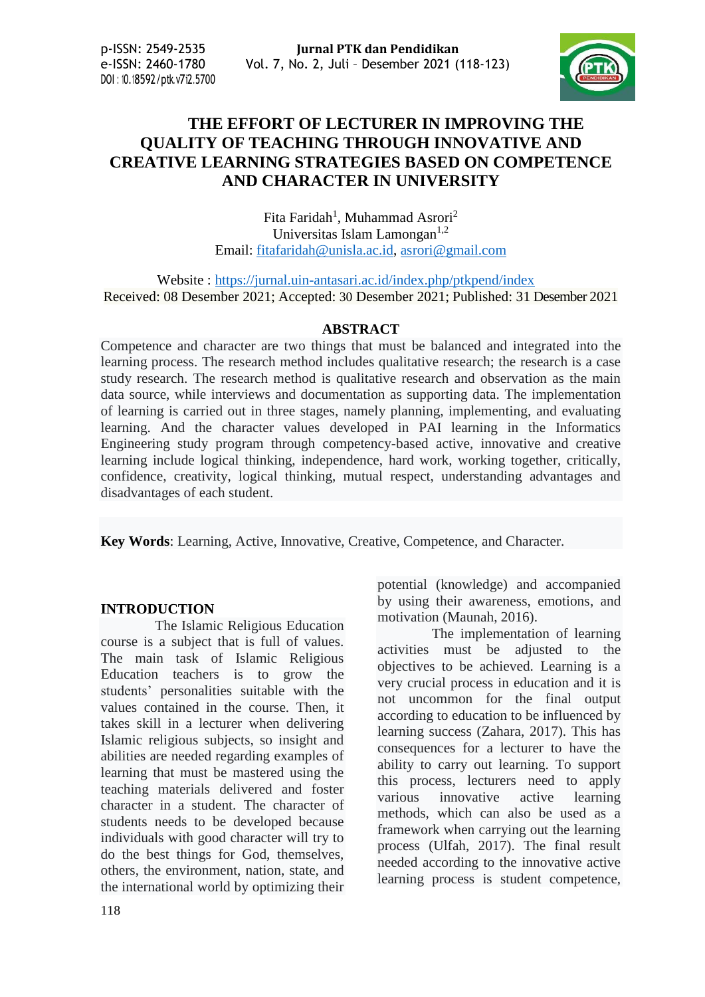DOI : 10.18592/ptk.v7i2.5700



# **THE EFFORT OF LECTURER IN IMPROVING THE QUALITY OF TEACHING THROUGH INNOVATIVE AND CREATIVE LEARNING STRATEGIES BASED ON COMPETENCE AND CHARACTER IN UNIVERSITY**

Fita Faridah<sup>1</sup>, Muhammad Asrori<sup>2</sup> Universitas Islam Lamongan $^{1,2}$ Email: [fitafaridah@unisla.ac.id,](mailto:fitafaridah@unisla.ac.id) [asrori@gmail.com](mailto:asrori@gmail.com)

Website : <https://jurnal.uin-antasari.ac.id/index.php/ptkpend/index> Received: 08 Desember 2021; Accepted: 30 Desember 2021; Published: 31 Desember 2021

#### **ABSTRACT**

Competence and character are two things that must be balanced and integrated into the learning process. The research method includes qualitative research; the research is a case study research. The research method is qualitative research and observation as the main data source, while interviews and documentation as supporting data. The implementation of learning is carried out in three stages, namely planning, implementing, and evaluating learning. And the character values developed in PAI learning in the Informatics Engineering study program through competency-based active, innovative and creative learning include logical thinking, independence, hard work, working together, critically, confidence, creativity, logical thinking, mutual respect, understanding advantages and disadvantages of each student.

**Key Words**: Learning, Active, Innovative, Creative, Competence, and Character.

#### **INTRODUCTION**

The Islamic Religious Education course is a subject that is full of values. The main task of Islamic Religious Education teachers is to grow the students' personalities suitable with the values contained in the course. Then, it takes skill in a lecturer when delivering Islamic religious subjects, so insight and abilities are needed regarding examples of learning that must be mastered using the teaching materials delivered and foster character in a student. The character of students needs to be developed because individuals with good character will try to do the best things for God, themselves, others, the environment, nation, state, and the international world by optimizing their potential (knowledge) and accompanied by using their awareness, emotions, and motivation (Maunah, 2016).

The implementation of learning activities must be adjusted to the objectives to be achieved. Learning is a very crucial process in education and it is not uncommon for the final output according to education to be influenced by learning success (Zahara, 2017). This has consequences for a lecturer to have the ability to carry out learning. To support this process, lecturers need to apply various innovative active learning methods, which can also be used as a framework when carrying out the learning process (Ulfah, 2017). The final result needed according to the innovative active learning process is student competence,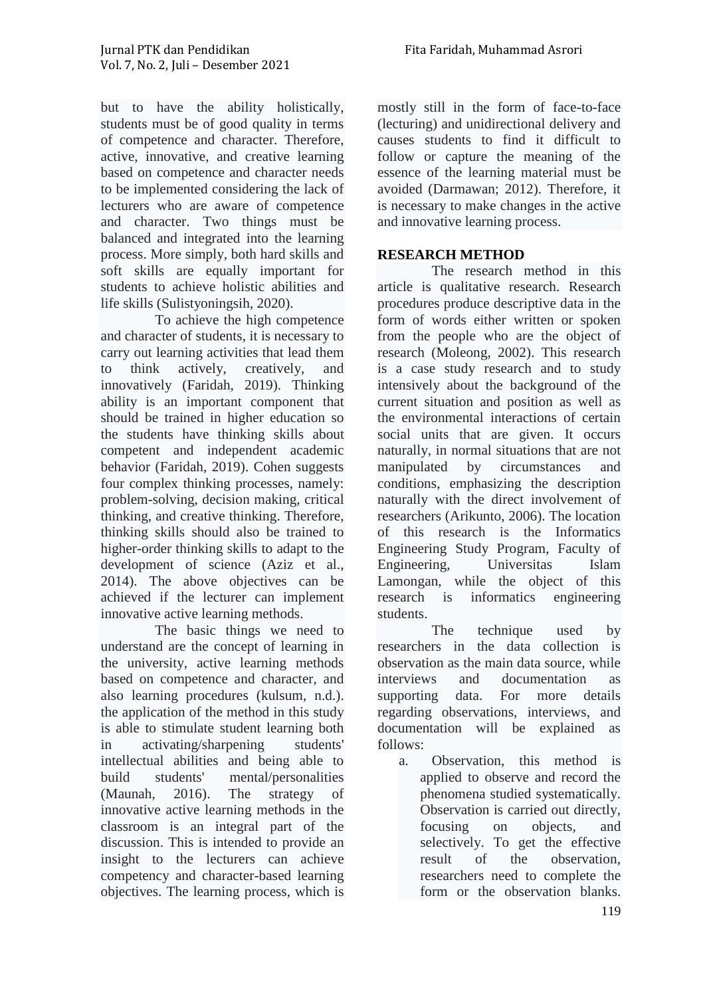but to have the ability holistically, students must be of good quality in terms of competence and character. Therefore, active, innovative, and creative learning based on competence and character needs to be implemented considering the lack of lecturers who are aware of competence and character. Two things must be balanced and integrated into the learning process. More simply, both hard skills and soft skills are equally important for students to achieve holistic abilities and life skills (Sulistyoningsih, 2020).

To achieve the high competence and character of students, it is necessary to carry out learning activities that lead them to think actively, creatively, and innovatively (Faridah, 2019). Thinking ability is an important component that should be trained in higher education so the students have thinking skills about competent and independent academic behavior (Faridah, 2019). Cohen suggests four complex thinking processes, namely: problem-solving, decision making, critical thinking, and creative thinking. Therefore, thinking skills should also be trained to higher-order thinking skills to adapt to the development of science (Aziz et al., 2014). The above objectives can be achieved if the lecturer can implement innovative active learning methods.

The basic things we need to understand are the concept of learning in the university, active learning methods based on competence and character, and also learning procedures (kulsum, n.d.). the application of the method in this study is able to stimulate student learning both in activating/sharpening students' intellectual abilities and being able to build students' mental/personalities (Maunah, 2016). The strategy of innovative active learning methods in the classroom is an integral part of the discussion. This is intended to provide an insight to the lecturers can achieve competency and character-based learning objectives. The learning process, which is

mostly still in the form of face-to-face (lecturing) and unidirectional delivery and causes students to find it difficult to follow or capture the meaning of the essence of the learning material must be avoided (Darmawan; 2012). Therefore, it is necessary to make changes in the active and innovative learning process.

## **RESEARCH METHOD**

The research method in this article is qualitative research. Research procedures produce descriptive data in the form of words either written or spoken from the people who are the object of research (Moleong, 2002). This research is a case study research and to study intensively about the background of the current situation and position as well as the environmental interactions of certain social units that are given. It occurs naturally, in normal situations that are not manipulated by circumstances and conditions, emphasizing the description naturally with the direct involvement of researchers (Arikunto, 2006). The location of this research is the Informatics Engineering Study Program, Faculty of Engineering, Universitas Islam Lamongan, while the object of this research is informatics engineering students.

The technique used by researchers in the data collection is observation as the main data source, while interviews and documentation as supporting data. For more details regarding observations, interviews, and documentation will be explained as follows:

a. Observation, this method is applied to observe and record the phenomena studied systematically. Observation is carried out directly, focusing on objects, and selectively. To get the effective result of the observation, researchers need to complete the form or the observation blanks.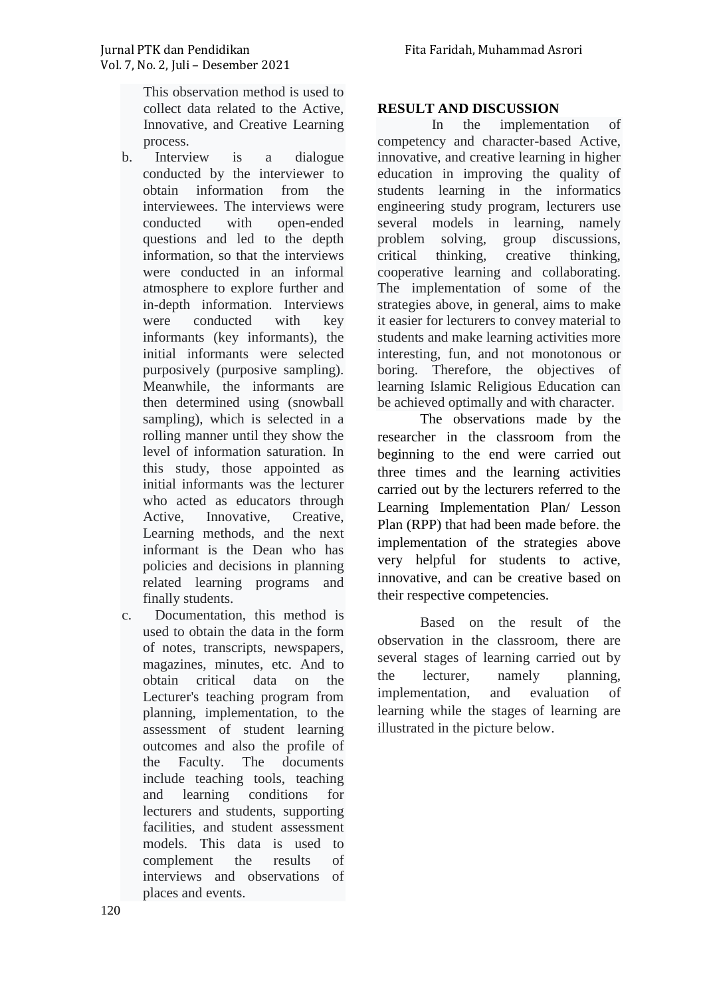This observation method is used to collect data related to the Active, Innovative, and Creative Learning process.

- b. Interview is a dialogue conducted by the interviewer to obtain information from the interviewees. The interviews were conducted with open-ended questions and led to the depth information, so that the interviews were conducted in an informal atmosphere to explore further and in-depth information. Interviews were conducted with key informants (key informants), the initial informants were selected purposively (purposive sampling). Meanwhile, the informants are then determined using (snowball sampling), which is selected in a rolling manner until they show the level of information saturation. In this study, those appointed as initial informants was the lecturer who acted as educators through Active, Innovative, Creative, Learning methods, and the next informant is the Dean who has policies and decisions in planning related learning programs and finally students.
- c. Documentation, this method is used to obtain the data in the form of notes, transcripts, newspapers, magazines, minutes, etc. And to obtain critical data on the Lecturer's teaching program from planning, implementation, to the assessment of student learning outcomes and also the profile of the Faculty. The documents include teaching tools, teaching and learning conditions for lecturers and students, supporting facilities, and student assessment models. This data is used to complement the results of interviews and observations of places and events.

#### **RESULT AND DISCUSSION**

In the implementation of competency and character-based Active, innovative, and creative learning in higher education in improving the quality of students learning in the informatics engineering study program, lecturers use several models in learning, namely problem solving, group discussions, critical thinking, creative thinking, cooperative learning and collaborating. The implementation of some of the strategies above, in general, aims to make it easier for lecturers to convey material to students and make learning activities more interesting, fun, and not monotonous or boring. Therefore, the objectives of learning Islamic Religious Education can be achieved optimally and with character.

The observations made by the researcher in the classroom from the beginning to the end were carried out three times and the learning activities carried out by the lecturers referred to the Learning Implementation Plan/ Lesson Plan (RPP) that had been made before. the implementation of the strategies above very helpful for students to active, innovative, and can be creative based on their respective competencies.

Based on the result of the observation in the classroom, there are several stages of learning carried out by the lecturer, namely planning, implementation, and evaluation of learning while the stages of learning are illustrated in the picture below.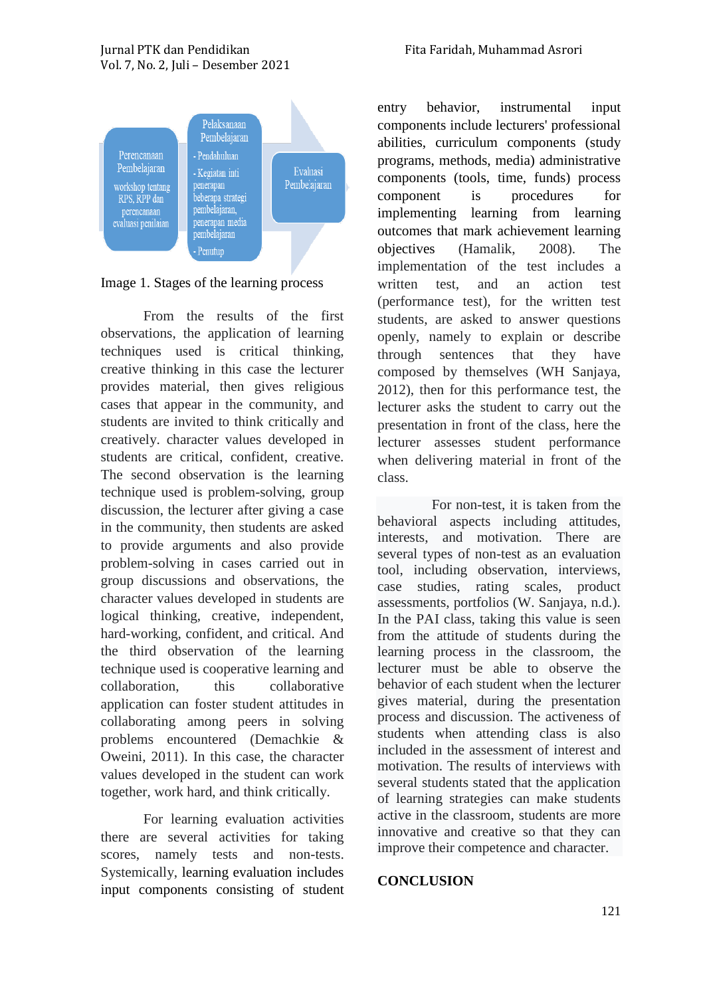



Image 1. Stages of the learning process

From the results of the first observations, the application of learning techniques used is critical thinking, creative thinking in this case the lecturer provides material, then gives religious cases that appear in the community, and students are invited to think critically and creatively. character values developed in students are critical, confident, creative. The second observation is the learning technique used is problem-solving, group discussion, the lecturer after giving a case in the community, then students are asked to provide arguments and also provide problem-solving in cases carried out in group discussions and observations, the character values developed in students are logical thinking, creative, independent, hard-working, confident, and critical. And the third observation of the learning technique used is cooperative learning and collaboration, this collaborative application can foster student attitudes in collaborating among peers in solving problems encountered (Demachkie & Oweini, 2011). In this case, the character values developed in the student can work together, work hard, and think critically.

For learning evaluation activities there are several activities for taking scores, namely tests and non-tests. Systemically, learning evaluation includes input components consisting of student entry behavior, instrumental input components include lecturers' professional abilities, curriculum components (study programs, methods, media) administrative components (tools, time, funds) process component is procedures for implementing learning from learning outcomes that mark achievement learning objectives (Hamalik, 2008). The implementation of the test includes a written test, and an action test (performance test), for the written test students, are asked to answer questions openly, namely to explain or describe through sentences that they have composed by themselves (WH Sanjaya, 2012), then for this performance test, the lecturer asks the student to carry out the presentation in front of the class, here the lecturer assesses student performance when delivering material in front of the class.

For non-test, it is taken from the behavioral aspects including attitudes, interests, and motivation. There are several types of non-test as an evaluation tool, including observation, interviews, case studies, rating scales, product assessments, portfolios (W. Sanjaya, n.d.). In the PAI class, taking this value is seen from the attitude of students during the learning process in the classroom, the lecturer must be able to observe the behavior of each student when the lecturer gives material, during the presentation process and discussion. The activeness of students when attending class is also included in the assessment of interest and motivation. The results of interviews with several students stated that the application of learning strategies can make students active in the classroom, students are more innovative and creative so that they can improve their competence and character.

## **CONCLUSION**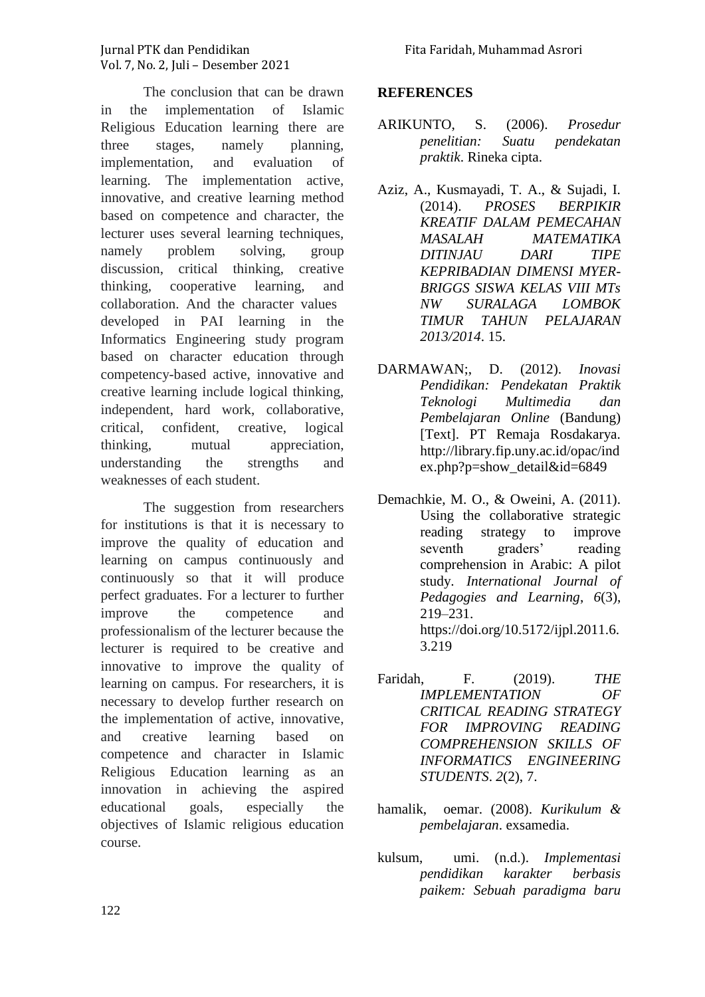The conclusion that can be drawn in the implementation of Islamic Religious Education learning there are three stages, namely planning, implementation, and evaluation of learning. The implementation active, innovative, and creative learning method based on competence and character, the lecturer uses several learning techniques, namely problem solving, group discussion, critical thinking, creative thinking, cooperative learning, and collaboration. And the character values developed in PAI learning in the Informatics Engineering study program based on character education through competency-based active, innovative and creative learning include logical thinking, independent, hard work, collaborative, critical, confident, creative, logical thinking, mutual appreciation, understanding the strengths and weaknesses of each student.

The suggestion from researchers for institutions is that it is necessary to improve the quality of education and learning on campus continuously and continuously so that it will produce perfect graduates. For a lecturer to further improve the competence and professionalism of the lecturer because the lecturer is required to be creative and innovative to improve the quality of learning on campus. For researchers, it is necessary to develop further research on the implementation of active, innovative, and creative learning based on competence and character in Islamic Religious Education learning as an innovation in achieving the aspired educational goals, especially the objectives of Islamic religious education course.

#### **REFERENCES**

- ARIKUNTO, S. (2006). *Prosedur penelitian: Suatu pendekatan praktik*. Rineka cipta.
- Aziz, A., Kusmayadi, T. A., & Sujadi, I. (2014). *PROSES BERPIKIR KREATIF DALAM PEMECAHAN MASALAH MATEMATIKA DITINJAU DARI TIPE KEPRIBADIAN DIMENSI MYER-BRIGGS SISWA KELAS VIII MTs NW SURALAGA LOMBOK TIMUR TAHUN PELAJARAN 2013/2014*. 15.
- DARMAWAN;, D. (2012). *Inovasi Pendidikan: Pendekatan Praktik Teknologi Multimedia dan Pembelajaran Online* (Bandung) [Text]. PT Remaja Rosdakarya. http://library.fip.uny.ac.id/opac/ind ex.php?p=show\_detail&id=6849
- Demachkie, M. O., & Oweini, A. (2011). Using the collaborative strategic reading strategy to improve seventh graders' reading comprehension in Arabic: A pilot study. *International Journal of Pedagogies and Learning*, *6*(3), 219–231. https://doi.org/10.5172/ijpl.2011.6. 3.219
- Faridah, F. (2019). *THE IMPLEMENTATION OF CRITICAL READING STRATEGY FOR IMPROVING READING COMPREHENSION SKILLS OF INFORMATICS ENGINEERING STUDENTS*. *2*(2), 7.
- hamalik, oemar. (2008). *Kurikulum & pembelajaran*. exsamedia.
- kulsum, umi. (n.d.). *Implementasi pendidikan karakter berbasis paikem: Sebuah paradigma baru*